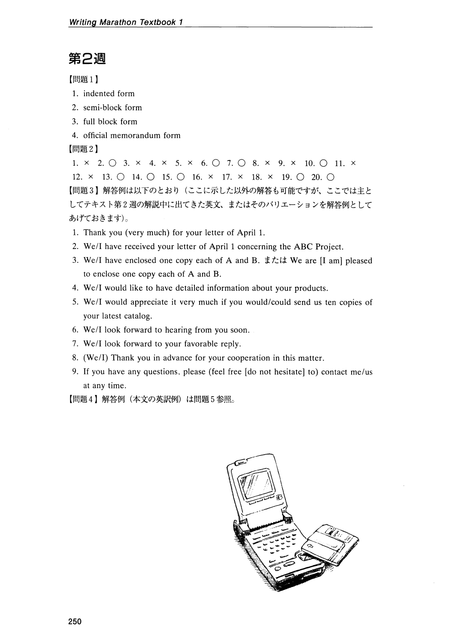## 第2週

[問題 1)

- 1. indented form
- 2. semi-block form
- 3. full block form
- 4. offieial memorandum form

[問題 2)

1.  $\times$  2.  $\bigcirc$  3.  $\times$  4.  $\times$  5.  $\times$  6.  $\bigcirc$  7.  $\bigcirc$  8.  $\times$  9.  $\times$  10.  $\bigcirc$  11.  $\times$ 12.  $\times$  13.  $\circ$  14.  $\circ$  15.  $\circ$  16.  $\times$  17.  $\times$  18.  $\times$  19.  $\circ$  20.  $\circ$ 【問題3】解答例は以下のとおり(ここに示した以外の解答も可能ですが、ここでは主と してテキスト第 2週の解説中に出てきた英文、またはそのバリエーションを解答例として あげておきます)。

- 1. Thank you (very mueh) for your letter of April 1.
- 2. We/I have received your letter of April 1 concerning the ABC Project.
- 3. We/I have enelosed one copy each of A and B.または Weare [1 am] pleased to enclose one copy each of A and B.
- 4. We/I would like to have detailed information about your products.
- 5. We/I would appreciate it very much if you would/could send us ten copies of your latest catalog.
- 6. We/l look forward to hearing from you soon.
- 7. We/l look forward to your favorable reply
- 8. (WelI) Thank you in advance for your cooperation in this matter.
- 9. If you have any questions, please (feel free [do not hesitate] to) contact me/us at any time.

【問題4】解答例(本文の英訳例)は問題 5 参照。